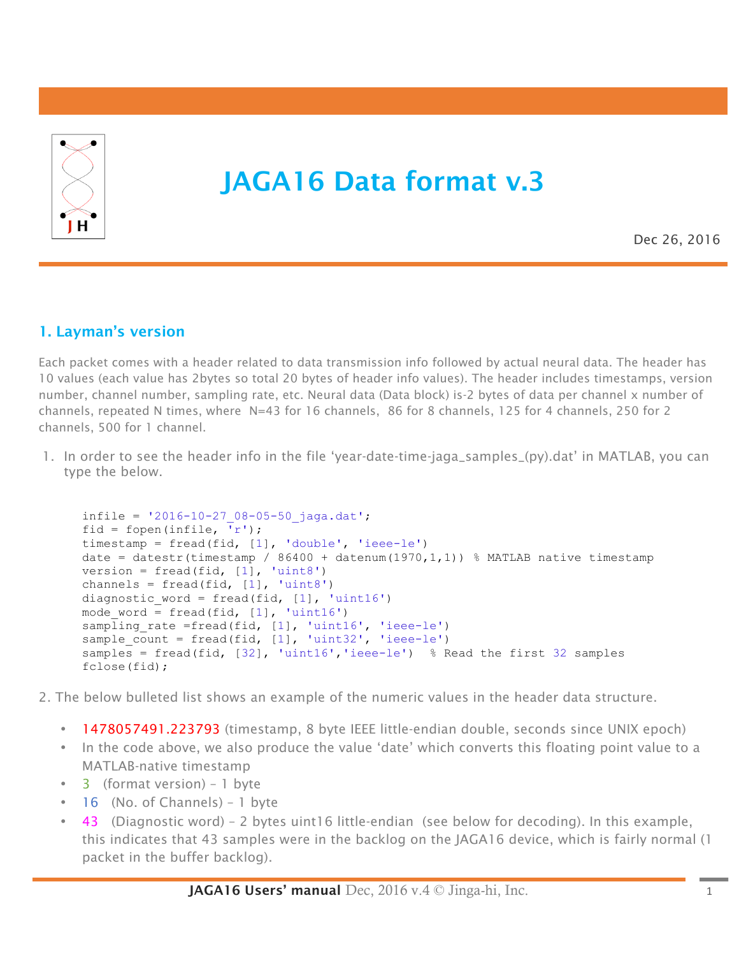

# JAGA16 Data format v.3

Dec 26, 2016

# 1. Layman's version

Each packet comes with a header related to data transmission info followed by actual neural data. The header has 10 values (each value has 2bytes so total 20 bytes of header info values). The header includes timestamps, version number, channel number, sampling rate, etc. Neural data (Data block) is-2 bytes of data per channel x number of channels, repeated N times, where N=43 for 16 channels, 86 for 8 channels, 125 for 4 channels, 250 for 2 channels, 500 for 1 channel.

1. In order to see the header info in the file 'year-date-time-jaga\_samples\_(py).dat' in MATLAB, you can type the below.

```
infile = '2016-10-27 08-05-50 jaga.dat';
fid = fopen(infile, 'r');
timestamp = fread(fid, [1], 'double', 'ieee-le')
date = datestr(timestamp / 86400 + datenum(1970,1,1)) % MATLAB native timestamp
version = fread(fid, [1], 'uint8')
channels = fread(fid, [1], 'uint8')
diagnostic word = fread(fid, [1], 'uint16')
mode word = fread(fid, [1], 'uint16')
sampling rate =fread(fid, [1], 'uint16', 'ieee-le')
sample count = fread(fid, [1], 'uint32', 'ieee-le')
samples = fread(fid, [32], 'uint16','ieee-le') % Read the first 32 samples
fclose(fid);
```
2. The below bulleted list shows an example of the numeric values in the header data structure.

- 1478057491.223793 (timestamp, 8 byte IEEE little-endian double, seconds since UNIX epoch)
- In the code above, we also produce the value 'date' which converts this floating point value to a MATLAB-native timestamp
- 3 (format version) 1 byte
- 16 (No. of Channels) 1 byte
- 43 (Diagnostic word) 2 bytes uint16 little-endian (see below for decoding). In this example, this indicates that 43 samples were in the backlog on the JAGA16 device, which is fairly normal (1 packet in the buffer backlog).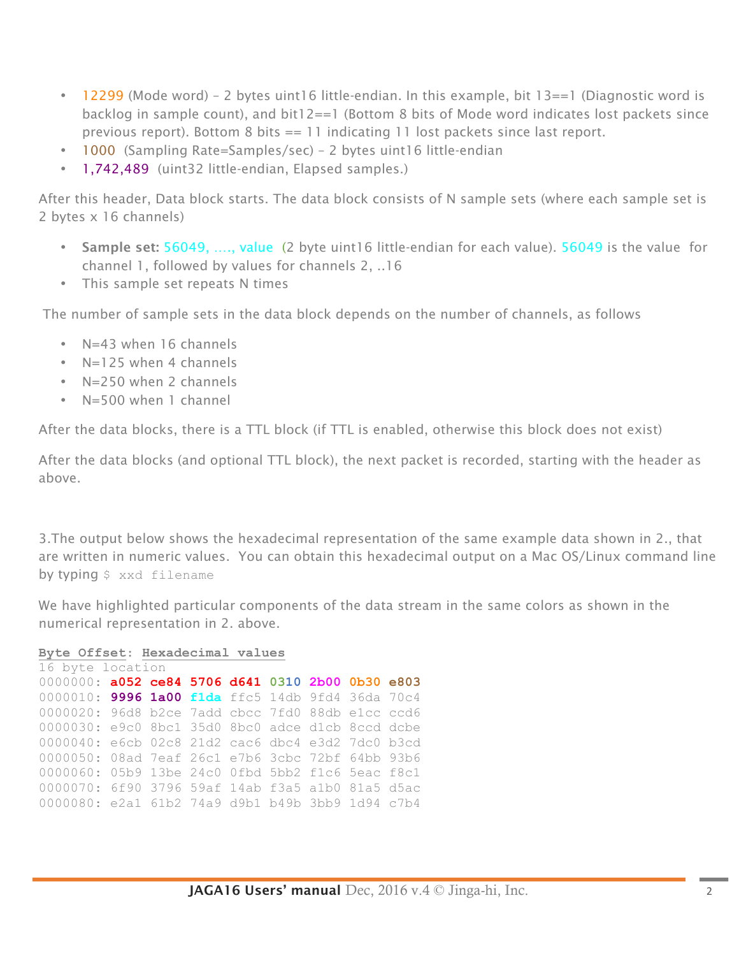- 12299 (Mode word) 2 bytes uint16 little-endian. In this example, bit 13==1 (Diagnostic word is backlog in sample count), and bit12==1 (Bottom 8 bits of Mode word indicates lost packets since previous report). Bottom 8 bits == 11 indicating 11 lost packets since last report.
- 1000 (Sampling Rate=Samples/sec) 2 bytes uint16 little-endian
- 1,742,489 (uint32 little-endian, Elapsed samples.)

After this header, Data block starts. The data block consists of N sample sets (where each sample set is 2 bytes x 16 channels)

- Sample set: 56049, ...., value (2 byte uint16 little-endian for each value). 56049 is the value for channel 1, followed by values for channels 2, ..16
- This sample set repeats N times

The number of sample sets in the data block depends on the number of channels, as follows

- N=43 when 16 channels
- N=125 when 4 channels
- N=250 when 2 channels
- N=500 when 1 channel

After the data blocks, there is a TTL block (if TTL is enabled, otherwise this block does not exist)

After the data blocks (and optional TTL block), the next packet is recorded, starting with the header as above.

3.The output below shows the hexadecimal representation of the same example data shown in 2., that are written in numeric values. You can obtain this hexadecimal output on a Mac OS/Linux command line by typing \$ xxd filename

We have highlighted particular components of the data stream in the same colors as shown in the numerical representation in 2. above.

```
Byte Offset: Hexadecimal values
```

```
16 byte location 
0000000: a052 ce84 5706 d641 0310 2b00 0b30 e803
0000010: 9996 1a00 f1da ffc5 14db 9fd4 36da 70c4
0000020: 96d8 b2ce 7add cbcc 7fd0 88db e1cc ccd6
0000030: e9c0 8bc1 35d0 8bc0 adce d1cb 8ccd dcbe
0000040: e6cb 02c8 21d2 cac6 dbc4 e3d2 7dc0 b3cd
0000050: 08ad 7eaf 26c1 e7b6 3cbc 72bf 64bb 93b6
0000060: 05b9 13be 24c0 0fbd 5bb2 f1c6 5eac f8c1
0000070: 6f90 3796 59af 14ab f3a5 a1b0 81a5 d5ac
0000080: e2a1 61b2 74a9 d9b1 b49b 3bb9 1d94 c7b4
```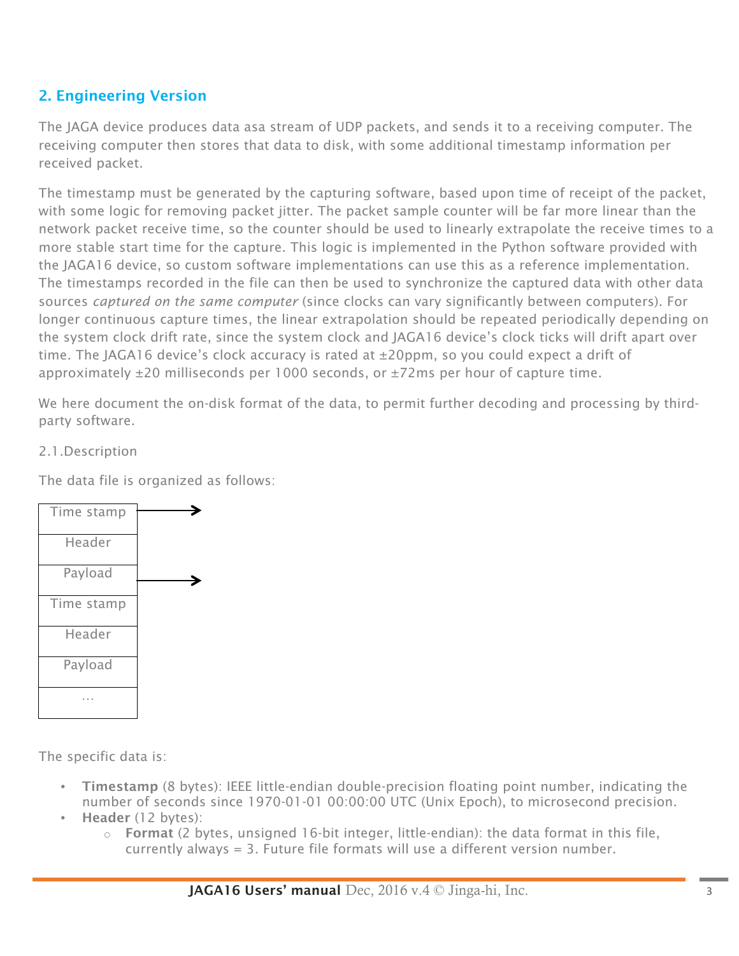# 2. Engineering Version

The JAGA device produces data asa stream of UDP packets, and sends it to a receiving computer. The receiving computer then stores that data to disk, with some additional timestamp information per received packet.

The timestamp must be generated by the capturing software, based upon time of receipt of the packet, with some logic for removing packet jitter. The packet sample counter will be far more linear than the network packet receive time, so the counter should be used to linearly extrapolate the receive times to a more stable start time for the capture. This logic is implemented in the Python software provided with the JAGA16 device, so custom software implementations can use this as a reference implementation. The timestamps recorded in the file can then be used to synchronize the captured data with other data sources *captured on the same computer* (since clocks can vary significantly between computers). For longer continuous capture times, the linear extrapolation should be repeated periodically depending on the system clock drift rate, since the system clock and JAGA16 device's clock ticks will drift apart over time. The JAGA16 device's clock accuracy is rated at  $\pm 20$ ppm, so you could expect a drift of approximately ±20 milliseconds per 1000 seconds, or ±72ms per hour of capture time.

We here document the on-disk format of the data, to permit further decoding and processing by thirdparty software.

2.1.Description

The data file is organized as follows:



The specific data is:

- Timestamp (8 bytes): IEEE little-endian double-precision floating point number, indicating the number of seconds since 1970-01-01 00:00:00 UTC (Unix Epoch), to microsecond precision.
- Header (12 bytes):
	- $\circ$  Format (2 bytes, unsigned 16-bit integer, little-endian): the data format in this file, currently always = 3. Future file formats will use a different version number.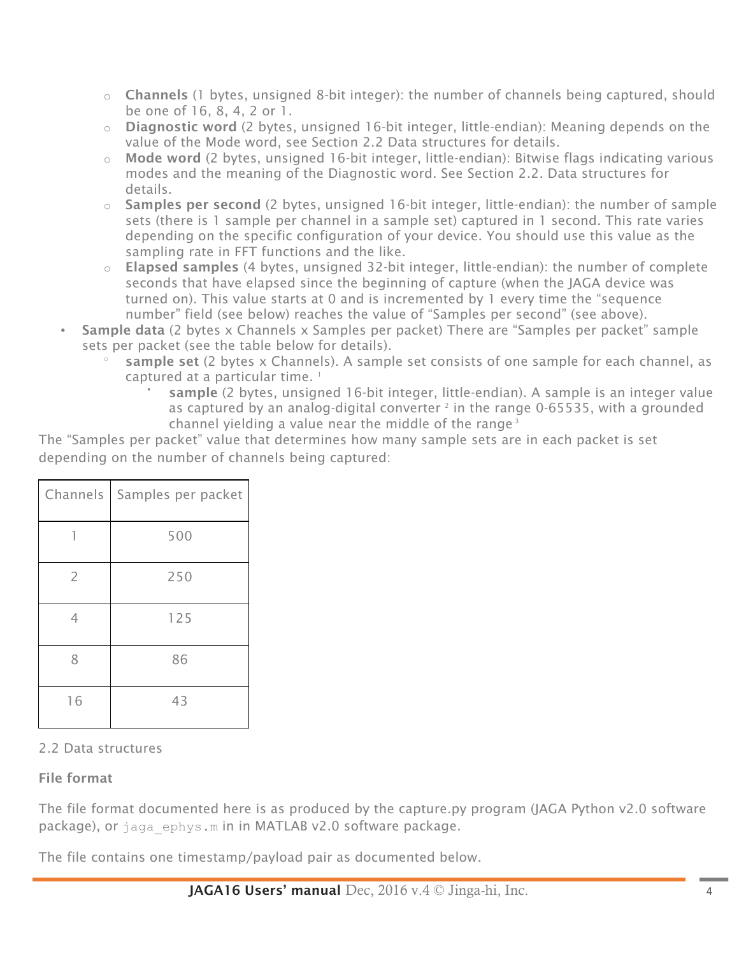- $\circ$  **Channels** (1 bytes, unsigned 8-bit integer): the number of channels being captured, should be one of 16, 8, 4, 2 or 1.
- o Diagnostic word (2 bytes, unsigned 16-bit integer, little-endian): Meaning depends on the value of the Mode word, see Section 2.2 Data structures for details.
- $\circ$  Mode word (2 bytes, unsigned 16-bit integer, little-endian): Bitwise flags indicating various modes and the meaning of the Diagnostic word. See Section 2.2. Data structures for details.
- $\circ$  Samples per second (2 bytes, unsigned 16-bit integer, little-endian): the number of sample sets (there is 1 sample per channel in a sample set) captured in 1 second. This rate varies depending on the specific configuration of your device. You should use this value as the sampling rate in FFT functions and the like.
- o Elapsed samples (4 bytes, unsigned 32-bit integer, little-endian): the number of complete seconds that have elapsed since the beginning of capture (when the JAGA device was turned on). This value starts at 0 and is incremented by 1 every time the "sequence number" field (see below) reaches the value of "Samples per second" (see above).
- Sample data (2 bytes x Channels x Samples per packet) There are "Samples per packet" sample sets per packet (see the table below for details).
	- sample set (2 bytes x Channels). A sample set consists of one sample for each channel, as captured at a particular time.<sup>1</sup>
		- sample (2 bytes, unsigned 16-bit integer, little-endian). A sample is an integer value as captured by an analog-digital converter  $2$  in the range 0-65535, with a grounded channel yielding a value near the middle of the range<sup>3</sup>

The "Samples per packet" value that determines how many sample sets are in each packet is set depending on the number of channels being captured:

| <b>Channels</b> | Samples per packet |
|-----------------|--------------------|
|                 | 500                |
| $\overline{2}$  | 250                |
| 4               | 125                |
| 8               | 86                 |
| 16              | 43                 |

### 2.2 Data structures

### File format

The file format documented here is as produced by the capture.py program (JAGA Python v2.0 software package), or jaga ephys.m in in MATLAB v2.0 software package.

The file contains one timestamp/payload pair as documented below.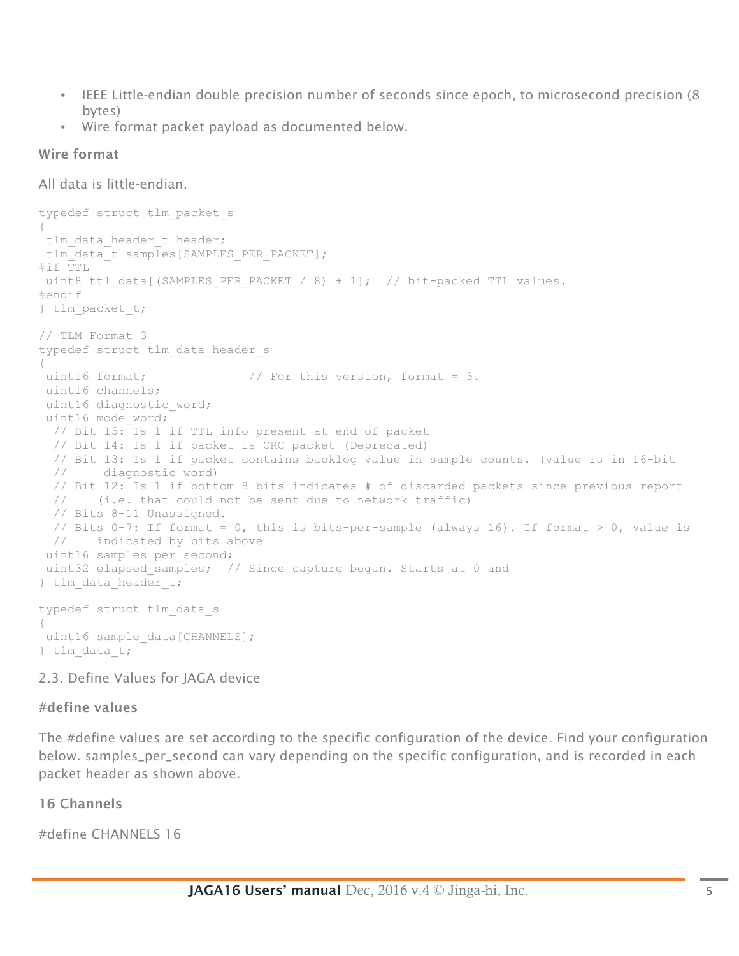- IEEE Little-endian double precision number of seconds since epoch, to microsecond precision (8 bytes)
- Wire format packet payload as documented below.

#### Wire format

All data is little-endian.

```
typedef struct tlm_packet_s
{
tlm data header t header;
tlm_data_t_samples[SAMPLES_PER_PACKET];
#if TTL
uint8 ttl data[(SAMPLES PER PACKET / 8) + 1]; // bit-packed TTL values.
#endif
} tlm_packet_t;
// TLM Format 3
typedef struct tlm_data_header_s
{
uint16 format; \frac{1}{2} // For this version, format = 3.
uint16 channels;
uint16 diagnostic word;
uint16 mode_word;
  // Bit 15: Is 1 if TTL info present at end of packet
  // Bit 14: Is 1 if packet is CRC packet (Deprecated)
  // Bit 13: Is 1 if packet contains backlog value in sample counts. (value is in 16-bit 
  // diagnostic word)
  // Bit 12: Is 1 if bottom 8 bits indicates # of discarded packets since previous report 
  // (i.e. that could not be sent due to network traffic)
  // Bits 8-11 Unassigned.
 // Bits 0-7: If format = 0, this is bits-per-sample (always 16). If format > 0, value is
  // indicated by bits above
uint16 samples per second;
uint32 elapsed samples; // Since capture began. Starts at 0 and
} tlm data header t;
typedef struct tlm_data_s
{
uint16 sample data[CHANNELS];
} tlm_data_t;
```
2.3. Define Values for JAGA device

#### #define values

The #define values are set according to the specific configuration of the device. Find your configuration below. samples\_per\_second can vary depending on the specific configuration, and is recorded in each packet header as shown above.

### 16 Channels

#define CHANNELS 16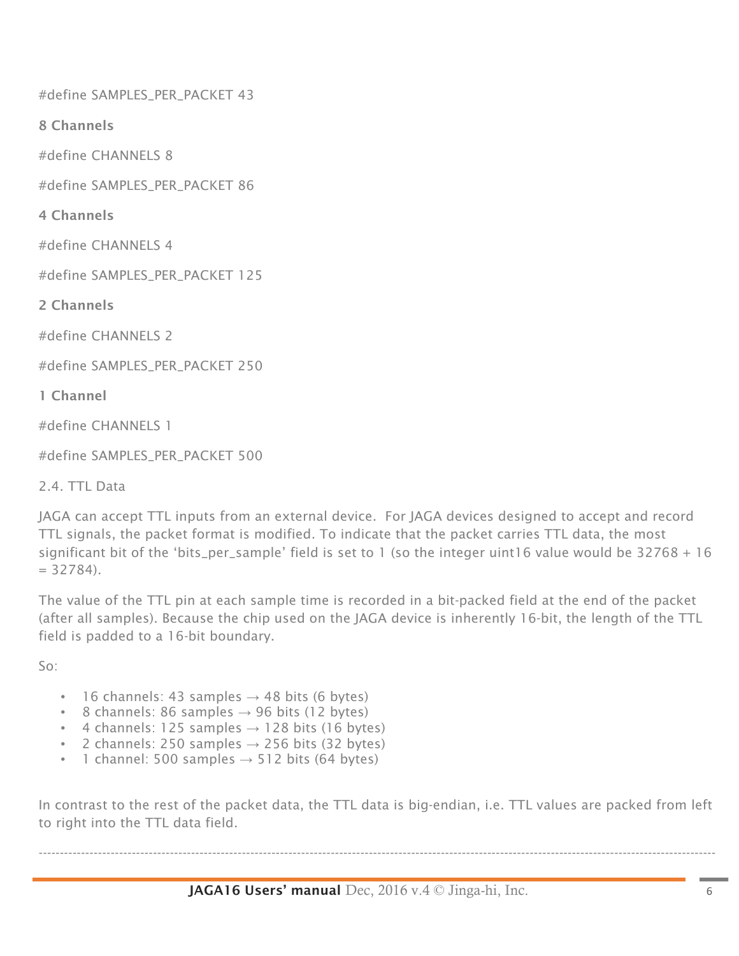#define SAMPLES\_PER\_PACKET 43

8 Channels

#define CHANNELS 8

#define SAMPLES\_PER\_PACKET 86

4 Channels

#define CHANNELS 4

#define SAMPLES\_PER\_PACKET 125

2 Channels

#define CHANNELS 2

#define SAMPLES\_PER\_PACKET 250

1 Channel

#define CHANNELS 1

#define SAMPLES\_PER\_PACKET 500

2.4. TTL Data

JAGA can accept TTL inputs from an external device. For JAGA devices designed to accept and record TTL signals, the packet format is modified. To indicate that the packet carries TTL data, the most significant bit of the 'bits\_per\_sample' field is set to 1 (so the integer uint16 value would be 32768 + 16  $= 32784$ ).

The value of the TTL pin at each sample time is recorded in a bit-packed field at the end of the packet (after all samples). Because the chip used on the JAGA device is inherently 16-bit, the length of the TTL field is padded to a 16-bit boundary.

So:

- 16 channels: 43 samples  $\rightarrow$  48 bits (6 bytes)
- 8 channels: 86 samples  $\rightarrow$  96 bits (12 bytes)
- 4 channels: 125 samples  $\rightarrow$  128 bits (16 bytes)
- 2 channels: 250 samples  $\rightarrow$  256 bits (32 bytes)
- 1 channel: 500 samples  $\rightarrow$  512 bits (64 bytes)

In contrast to the rest of the packet data, the TTL data is big-endian, i.e. TTL values are packed from left to right into the TTL data field.

----------------------------------------------------------------------------------------------------------------------------------------------------------------

JAGA16 Users' manual Dec, 2016 v.4 © Jinga-hi, Inc. 6